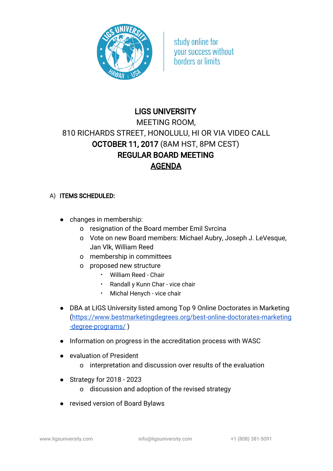

study online for **vour success without horders or limits** 

## LIGS UNIVERSITY

## MEETING ROOM, 810 RICHARDS STREET, HONOLULU, HI OR VIA VIDEO CALL OCTOBER 11, 2017 (8AM HST, 8PM CEST) REGULAR BOARD MEETING AGENDA

## A) ITEMS SCHEDULED:

- changes in membership:
	- o resignation of the Board member Emil Svrcina
	- o Vote on new Board members: Michael Aubry, Joseph J. LeVesque, Jan Vlk, William Reed
	- o membership in committees
	- o proposed new structure
		- William Reed Chair
		- Randall y Kunn Char vice chair
		- Michal Henych vice chair
- DBA at LIGS University listed among Top 9 Online Doctorates in Marketing [\(https://www.bestmarketingdegrees.org/best-online-doctorates-marketing](https://www.bestmarketingdegrees.org/best-online-doctorates-marketing-degree-programs/) [-degree-programs/](https://www.bestmarketingdegrees.org/best-online-doctorates-marketing-degree-programs/) )
- Information on progress in the accreditation process with WASC
- evaluation of President
	- o interpretation and discussion over results of the evaluation
- Strategy for 2018 2023
	- o discussion and adoption of the revised strategy
- revised version of Board Bylaws